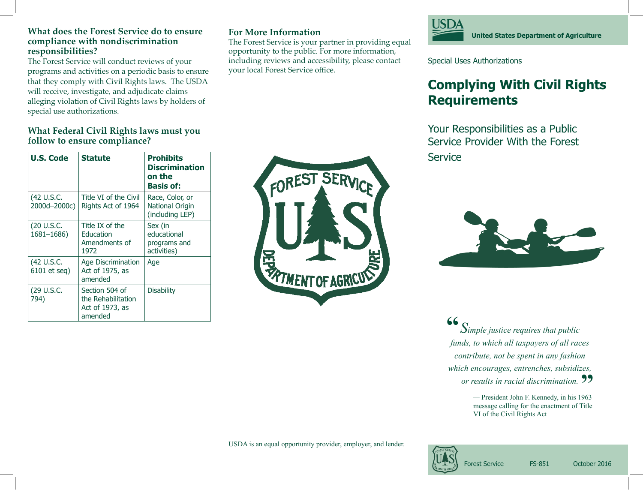#### **What does the Forest Service do to ensure compliance with nondiscrimination responsibilities?**

The Forest Service will conduct reviews of your programs and activities on a periodic basis to ensure that they comply with Civil Rights laws. The USDA will receive, investigate, and adjudicate claims alleging violation of Civil Rights laws by holders of special use authorizations.

### **What Federal Civil Rights laws must you follow to ensure compliance?**

| <b>U.S. Code</b>            | Statute                                                            | <b>Prohibits</b><br><b>Discrimination</b><br>on the<br><b>Basis of:</b> |
|-----------------------------|--------------------------------------------------------------------|-------------------------------------------------------------------------|
| (42 U.S.C.<br>2000d-2000c)  | Title VI of the Civil<br>Rights Act of 1964                        | Race, Color, or<br><b>National Origin</b><br>(including LEP)            |
| (20 U.S.C.<br>$1681 - 1686$ | Title IX of the<br>Education<br>Amendments of<br>1972              | Sex (in<br>educational<br>programs and<br>activities)                   |
| (42 U.S.C.<br>6101 et seq)  | <b>Age Discrimination</b><br>Act of 1975, as<br>amended            | Age                                                                     |
| (29 U.S.C.<br>794)          | Section 504 of<br>the Rehabilitation<br>Act of 1973, as<br>amended | Disability                                                              |

## **For More Information**

The Forest Service is your partner in providing equal opportunity to the public. For more information, including reviews and accessibility, please contact your local Forest Service office.

FOREST SERVICE

**MENT OF AGRIC** 



Special Uses Authorizations

# **Complying With Civil Rights Requirements**

Your Responsibilities as a Public Service Provider With the Forest **Service** 



*Simple justice requires that public funds, to which all taxpayers of all races contribute, not be spent in any fashion which encourages, entrenches, subsidizes, or results in racial discrimination.*<br>  $\bullet$  President John E. Kennedy, in his 1963 **"**

*—* President John F. Kennedy, in his 1963 message calling for the enactment of Title VI of the Civil Rights Act